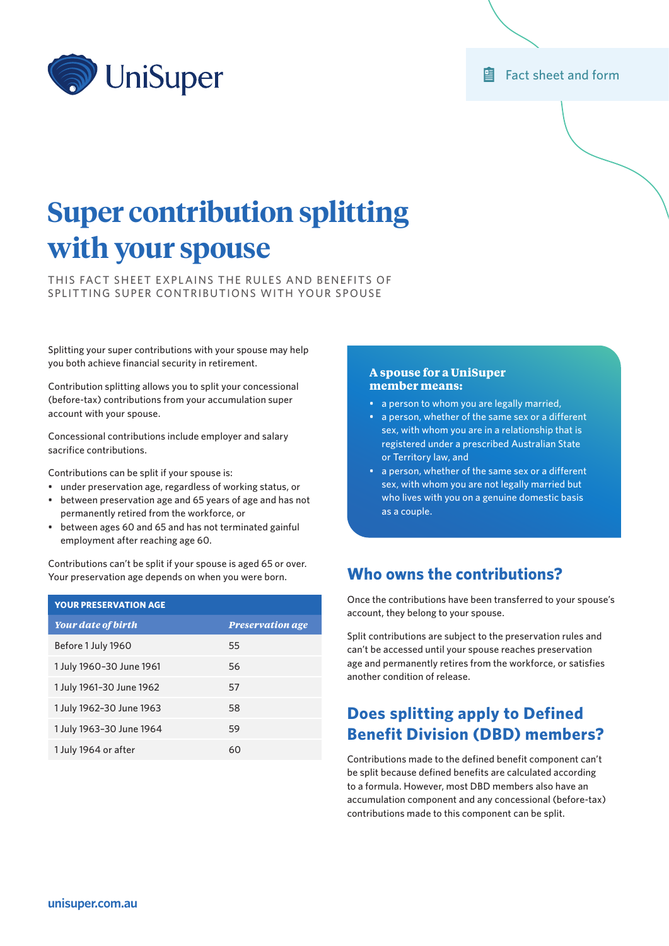

## **国** Fact sheet and form

# **Super contribution splitting with your spouse**

THIS FACT SHEET EXPLAINS THE RULES AND BENEFITS OF SPLITTING SUPER CONTRIBUTIONS WITH YOUR SPOUSE

Splitting your super contributions with your spouse may help you both achieve financial security in retirement.

Contribution splitting allows you to split your concessional (before-tax) contributions from your accumulation super account with your spouse.

Concessional contributions include employer and salary sacrifice contributions.

Contributions can be split if your spouse is:

- under preservation age, regardless of working status, or
- between preservation age and 65 years of age and has not permanently retired from the workforce, or
- between ages 60 and 65 and has not terminated gainful employment after reaching age 60.

Contributions can't be split if your spouse is aged 65 or over. Your preservation age depends on when you were born.

| <b>YOUR PRESERVATION AGE</b> |                         |  |  |  |  |
|------------------------------|-------------------------|--|--|--|--|
| <b>Your date of birth</b>    | <b>Preservation age</b> |  |  |  |  |
| Before 1 July 1960           | 55                      |  |  |  |  |
| 1 July 1960-30 June 1961     | 56                      |  |  |  |  |
| 1 July 1961-30 June 1962     | 57                      |  |  |  |  |
| 1 July 1962-30 June 1963     | 58                      |  |  |  |  |
| 1 July 1963-30 June 1964     | 59                      |  |  |  |  |
| 1 July 1964 or after         | 60                      |  |  |  |  |

#### **A spouse for a UniSuper member means:**

- a person to whom you are legally married,
- a person, whether of the same sex or a different sex, with whom you are in a relationship that is registered under a prescribed Australian State or Territory law, and
- a person, whether of the same sex or a different sex, with whom you are not legally married but who lives with you on a genuine domestic basis as a couple.

## **Who owns the contributions?**

Once the contributions have been transferred to your spouse's account, they belong to your spouse.

Split contributions are subject to the preservation rules and can't be accessed until your spouse reaches preservation age and permanently retires from the workforce, or satisfies another condition of release.

## **Does splitting apply to Defined Benefit Division (DBD) members?**

Contributions made to the defined benefit component can't be split because defined benefits are calculated according to a formula. However, most DBD members also have an accumulation component and any concessional (before-tax) contributions made to this component can be split.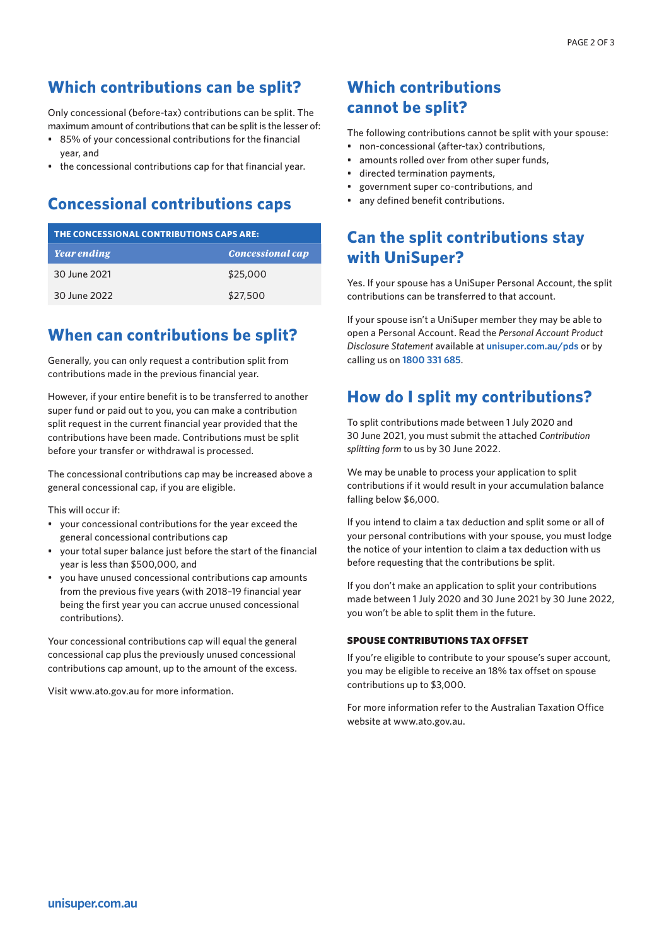# **Which contributions can be split?**

Only concessional (before-tax) contributions can be split. The maximum amount of contributions that can be split is the lesser of:

- 85% of your concessional contributions for the financial year, and
- the concessional contributions cap for that financial year.

## **Concessional contributions caps**

| THE CONCESSIONAL CONTRIBUTIONS CAPS ARE: |                         |  |  |  |
|------------------------------------------|-------------------------|--|--|--|
| <b>Year ending</b>                       | <b>Concessional cap</b> |  |  |  |
| 30 June 2021                             | \$25,000                |  |  |  |
| 30 June 2022                             | \$27,500                |  |  |  |

## **When can contributions be split?**

Generally, you can only request a contribution split from contributions made in the previous financial year.

However, if your entire benefit is to be transferred to another super fund or paid out to you, you can make a contribution split request in the current financial year provided that the contributions have been made. Contributions must be split before your transfer or withdrawal is processed.

The concessional contributions cap may be increased above a general concessional cap, if you are eligible.

This will occur if:

- your concessional contributions for the year exceed the general concessional contributions cap
- your total super balance just before the start of the financial year is less than \$500,000, and
- you have unused concessional contributions cap amounts from the previous five years (with 2018–19 financial year being the first year you can accrue unused concessional contributions).

Your concessional contributions cap will equal the general concessional cap plus the previously unused concessional contributions cap amount, up to the amount of the excess.

Visit www.ato.gov.au for more information.

# **Which contributions cannot be split?**

The following contributions cannot be split with your spouse:

- non-concessional (after-tax) contributions,
- amounts rolled over from other super funds,
- directed termination payments,
- government super co-contributions, and
- any defined benefit contributions.

## **Can the split contributions stay with UniSuper?**

Yes. If your spouse has a UniSuper Personal Account, the split contributions can be transferred to that account.

If your spouse isn't a UniSuper member they may be able to open a Personal Account. Read the *Personal Account Product Disclosure Statement* available at **unisuper.com.au/pds** or by calling us on **1800 331 685**.

# **How do I split my contributions?**

To split contributions made between 1 July 2020 and 30 June 2021, you must submit the attached *Contribution splitting form* to us by 30 June 2022.

We may be unable to process your application to split contributions if it would result in your accumulation balance falling below \$6,000.

If you intend to claim a tax deduction and split some or all of your personal contributions with your spouse, you must lodge the notice of your intention to claim a tax deduction with us before requesting that the contributions be split.

If you don't make an application to split your contributions made between 1 July 2020 and 30 June 2021 by 30 June 2022, you won't be able to split them in the future.

#### SPOUSE CONTRIBUTIONS TAX OFFSET

If you're eligible to contribute to your spouse's super account, you may be eligible to receive an 18% tax offset on spouse contributions up to \$3,000.

For more information refer to the Australian Taxation Office website at www.ato.gov.au.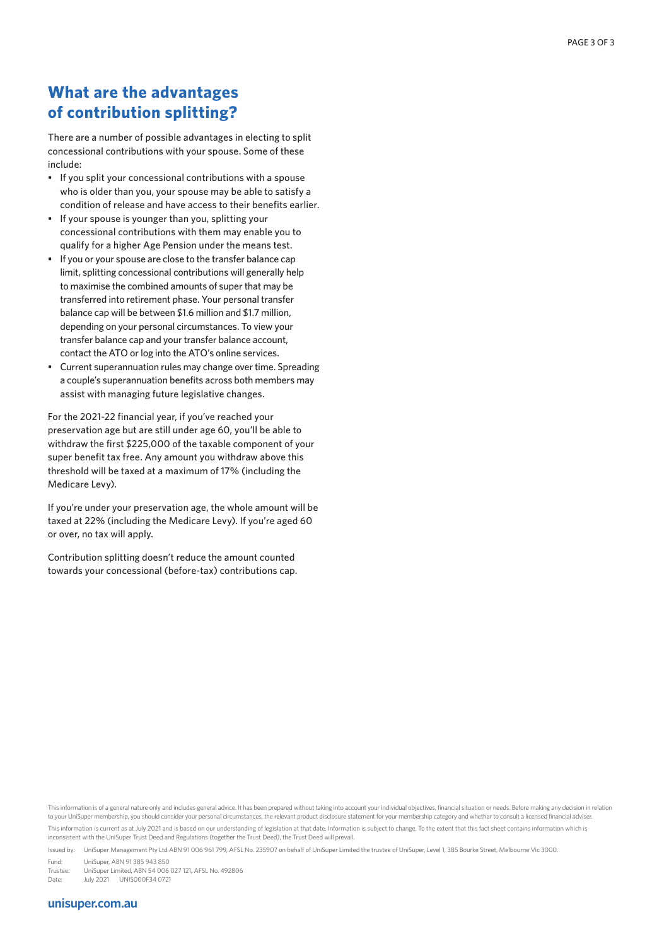# **What are the advantages of contribution splitting?**

There are a number of possible advantages in electing to split concessional contributions with your spouse. Some of these include:

- If you split your concessional contributions with a spouse who is older than you, your spouse may be able to satisfy a condition of release and have access to their benefits earlier.
- If your spouse is younger than you, splitting your concessional contributions with them may enable you to qualify for a higher Age Pension under the means test.
- If you or your spouse are close to the transfer balance cap limit, splitting concessional contributions will generally help to maximise the combined amounts of super that may be transferred into retirement phase. Your personal transfer balance cap will be between \$1.6 million and \$1.7 million, depending on your personal circumstances. To view your transfer balance cap and your transfer balance account, contact the ATO or log into the ATO's online services.
- Current superannuation rules may change over time. Spreading a couple's superannuation benefits across both members may assist with managing future legislative changes.

For the 2021-22 financial year, if you've reached your preservation age but are still under age 60, you'll be able to withdraw the first \$225,000 of the taxable component of your super benefit tax free. Any amount you withdraw above this threshold will be taxed at a maximum of 17% (including the Medicare Levy).

If you're under your preservation age, the whole amount will be taxed at 22% (including the Medicare Levy). If you're aged 60 or over, no tax will apply.

Contribution splitting doesn't reduce the amount counted towards your concessional (before-tax) contributions cap.

This information is of a general nature only and includes general advice. It has been prepared without taking into account your individual objectives, financial situation or needs. Before making any decision in relation to your UniSuper membership, you should consider your personal circumstances, the relevant product disclosure statement for your membership category and whether to consult a licensed financial adviser. This information is current as at July 2021 and is based on our understanding of legislation at that date. Information is subject to change. To the extent that this fact sheet contains information which is inconsistent with the UniSuper Trust Deed and Regulations (together the Trust Deed), the Trust Deed will prevail.

Issued by: UniSuper Management Pty Ltd ABN 91 006 961 799, AFSL No. 235907 on behalf of UniSuper Limited the trustee of UniSuper, Level 1, 385 Bourke Street, Melbourne Vic 3000.

Fund: UniSuper, ABN 91 385 943 850

Trustee: UniSuper Limited, ABN 54 006 027 121, AFSL No. 492806 July 2021 UNIS000F34 0721

#### **unisuper.com.au**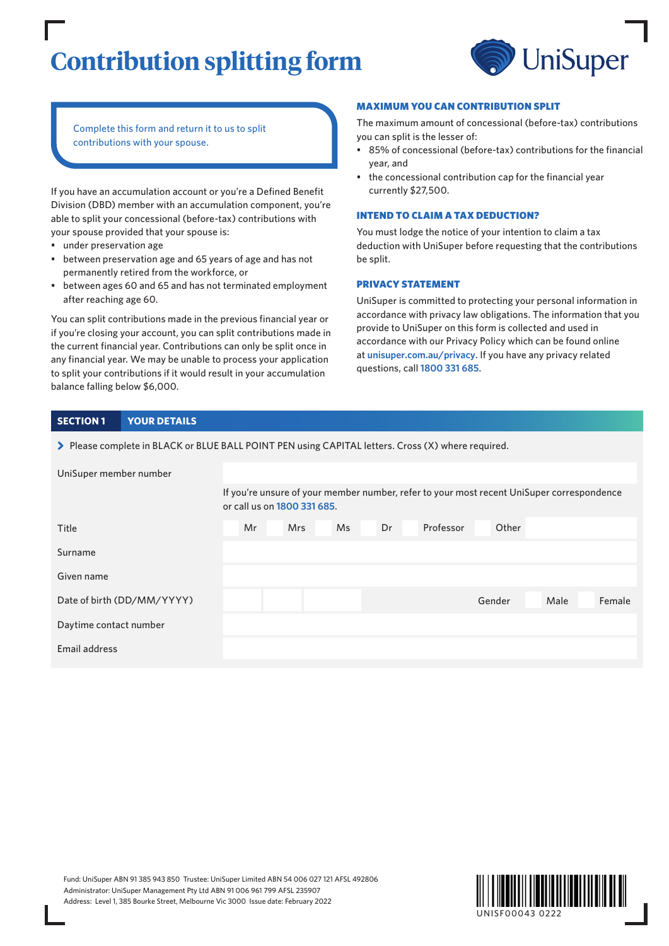# **Contribution splitting form**



Complete this form and return it to us to split contributions with your spouse.

If you have an accumulation account or you're a Defined Benefit Division (DBD) member with an accumulation component, you're able to split your concessional (before-tax) contributions with your spouse provided that your spouse is:

- under preservation age
- between preservation age and 65 years of age and has not permanently retired from the workforce, or
- between ages 60 and 65 and has not terminated employment after reaching age 60.

You can split contributions made in the previous financial year or if you're closing your account, you can split contributions made in the current financial year. Contributions can only be split once in any financial year. We may be unable to process your application to split your contributions if it would result in your accumulation balance falling below \$6,000.

#### MAXIMUM YOU CAN CONTRIBUTION SPLIT

The maximum amount of concessional (before-tax) contributions you can split is the lesser of:

- 85% of concessional (before-tax) contributions for the financial year, and
- the concessional contribution cap for the financial year currently \$27,500.

#### INTEND TO CLAIM A TAX DEDUCTION?

You must lodge the notice of your intention to claim a tax deduction with UniSuper before requesting that the contributions be split.

#### PRIVACY STATEMENT

UniSuper is committed to protecting your personal information in accordance with privacy law obligations. The information that you provide to UniSuper on this form is collected and used in accordance with our Privacy Policy which can be found online at **[unisuper.com.au/privacy](http://unisuper.com.au/privacy)** . If you have any privacy related questions, call **1800 331 685**.

#### **SECTION 1 YOUR DETAILS**

> Please complete in BLACK or BLUE BALL POINT PEN using CAPITAL letters. Cross (X) where required.

| UniSuper member number     |                                                                                                                          |  |            |    |    |           |        |      |        |
|----------------------------|--------------------------------------------------------------------------------------------------------------------------|--|------------|----|----|-----------|--------|------|--------|
|                            | If you're unsure of your member number, refer to your most recent UniSuper correspondence<br>or call us on 1800 331 685. |  |            |    |    |           |        |      |        |
| Title                      | Mr                                                                                                                       |  | <b>Mrs</b> | Ms | Dr | Professor | Other  |      |        |
| Surname                    |                                                                                                                          |  |            |    |    |           |        |      |        |
| Given name                 |                                                                                                                          |  |            |    |    |           |        |      |        |
| Date of birth (DD/MM/YYYY) |                                                                                                                          |  |            |    |    |           | Gender | Male | Female |
| Daytime contact number     |                                                                                                                          |  |            |    |    |           |        |      |        |
| Email address              |                                                                                                                          |  |            |    |    |           |        |      |        |

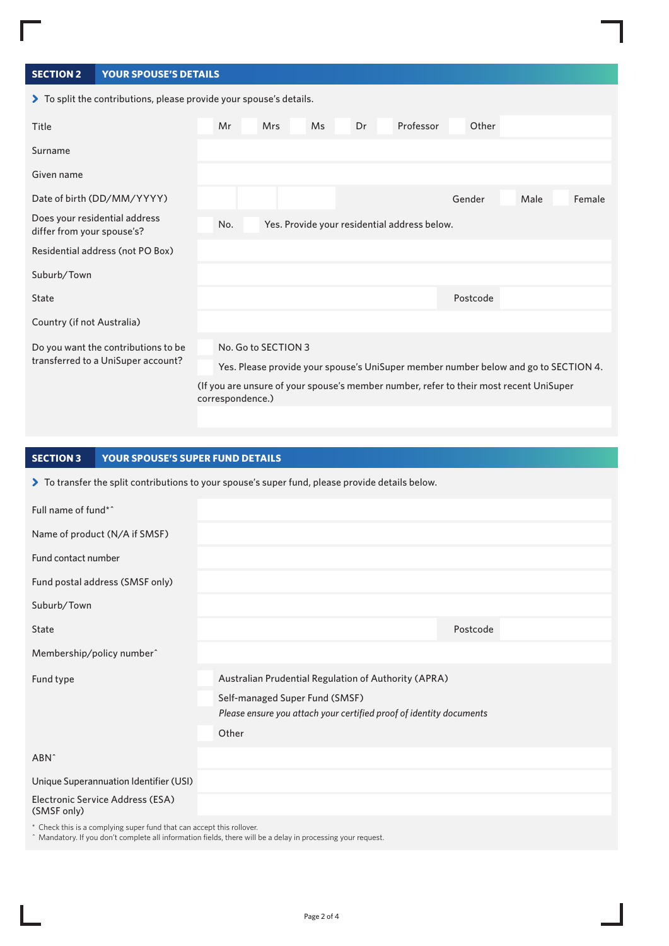| <b>SECTION 2</b>                                                          | <b>YOUR SPOUSE'S DETAILS</b>     |                                                                                                            |  |  |  |  |  |
|---------------------------------------------------------------------------|----------------------------------|------------------------------------------------------------------------------------------------------------|--|--|--|--|--|
| > To split the contributions, please provide your spouse's details.       |                                  |                                                                                                            |  |  |  |  |  |
| Title                                                                     |                                  | Mr<br>Ms<br>Professor<br><b>Mrs</b><br>Dr<br>Other                                                         |  |  |  |  |  |
| Surname                                                                   |                                  |                                                                                                            |  |  |  |  |  |
| Given name                                                                |                                  |                                                                                                            |  |  |  |  |  |
|                                                                           | Date of birth (DD/MM/YYYY)       | Gender<br>Male<br>Female                                                                                   |  |  |  |  |  |
| Does your residential address<br>differ from your spouse's?               |                                  | No.<br>Yes. Provide your residential address below.                                                        |  |  |  |  |  |
|                                                                           | Residential address (not PO Box) |                                                                                                            |  |  |  |  |  |
| Suburb/Town                                                               |                                  |                                                                                                            |  |  |  |  |  |
| <b>State</b>                                                              |                                  | Postcode                                                                                                   |  |  |  |  |  |
| Country (if not Australia)                                                |                                  |                                                                                                            |  |  |  |  |  |
| Do you want the contributions to be<br>transferred to a UniSuper account? |                                  | No. Go to SECTION 3                                                                                        |  |  |  |  |  |
|                                                                           |                                  | Yes. Please provide your spouse's UniSuper member number below and go to SECTION 4.                        |  |  |  |  |  |
|                                                                           |                                  | (If you are unsure of your spouse's member number, refer to their most recent UniSuper<br>correspondence.) |  |  |  |  |  |

## **SECTION 3 YOUR SPOUSE'S SUPER FUND DETAILS**

> To transfer the split contributions to your spouse's super fund, please provide details below.

| Full name of fund*^                                                   |                                                                                                                                                                                                                                    |
|-----------------------------------------------------------------------|------------------------------------------------------------------------------------------------------------------------------------------------------------------------------------------------------------------------------------|
| Name of product (N/A if SMSF)                                         |                                                                                                                                                                                                                                    |
| Fund contact number                                                   |                                                                                                                                                                                                                                    |
| Fund postal address (SMSF only)                                       |                                                                                                                                                                                                                                    |
| Suburb/Town                                                           |                                                                                                                                                                                                                                    |
| State                                                                 | Postcode                                                                                                                                                                                                                           |
| Membership/policy number^                                             |                                                                                                                                                                                                                                    |
| Fund type                                                             | Australian Prudential Regulation of Authority (APRA)                                                                                                                                                                               |
|                                                                       | Self-managed Super Fund (SMSF)                                                                                                                                                                                                     |
|                                                                       | Please ensure you attach your certified proof of identity documents                                                                                                                                                                |
|                                                                       | Other                                                                                                                                                                                                                              |
| ABN <sup>^</sup>                                                      |                                                                                                                                                                                                                                    |
| Unique Superannuation Identifier (USI)                                |                                                                                                                                                                                                                                    |
| Electronic Service Address (ESA)<br>(SMSF only)                       |                                                                                                                                                                                                                                    |
| * Check this is a complying super fund that can accept this rollover. | $\lambda$ and the set of the set of the set of the set of the set of the set of the set of the set of the set of the set of the set of the set of the set of the set of the set of the set of the set of the set of the set of the |

^ Mandatory. If you don't complete all information fields, there will be a delay in processing your request.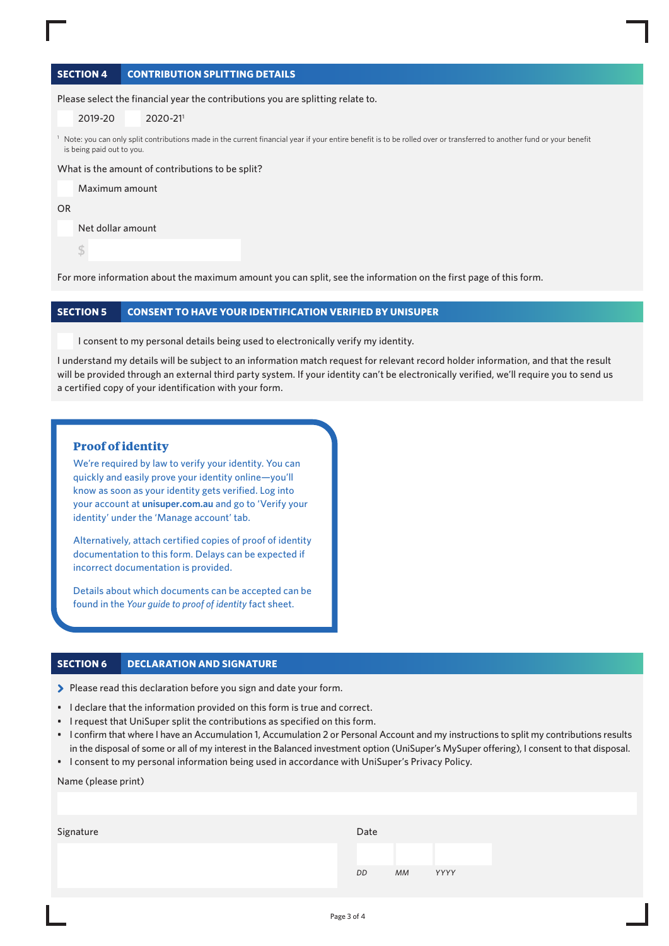#### **SECTION 4 CONTRIBUTION SPLITTING DETAILS**

Please select the financial year the contributions you are splitting relate to.

#### 2019-20 2020-211

<sup>1</sup> Note: you can only split contributions made in the current financial year if your entire benefit is to be rolled over or transferred to another fund or your benefit is being paid out to you.

What is the amount of contributions to be split?

Maximum amount

OR

Net dollar amount

**\$** 

For more information about the maximum amount you can split, see the information on the first page of this form.

#### **SECTION 5 CONSENT TO HAVE YOUR IDENTIFICATION VERIFIED BY UNISUPER**

I consent to my personal details being used to electronically verify my identity.

I understand my details will be subject to an information match request for relevant record holder information, and that the result will be provided through an external third party system. If your identity can't be electronically verified, we'll require you to send us a certified copy of your identification with your form.

| <b>Proof of identity</b> |  |  |  |  |
|--------------------------|--|--|--|--|
|--------------------------|--|--|--|--|

We're required by law to verify your identity. You can quickly and easily prove your identity online—you'll know as soon as your identity gets verified. Log into your account at **unisuper.com.au** and go to 'Verify your identity' under the 'Manage account' tab.

Alternatively, attach certified copies of proof of identity documentation to this form. Delays can be expected if incorrect documentation is provided.

Details about which documents can be accepted can be found in the *Your guide to proof of identity* fact sheet.

#### **SECTION 6 DECLARATION AND SIGNATURE**

> Please read this declaration before you sign and date your form.

- I declare that the information provided on this form is true and correct.
- I request that UniSuper split the contributions as specified on this form.
- I confirm that where I have an Accumulation 1, Accumulation 2 or Personal Account and my instructions to split my contributions results in the disposal of some or all of my interest in the Balanced investment option (UniSuper's MySuper offering), I consent to that disposal.
- I consent to my personal information being used in accordance with UniSuper's Privacy Policy.

Name (please print)

| Signature | Date |    |      |
|-----------|------|----|------|
|           | DD   | МM | YYYY |